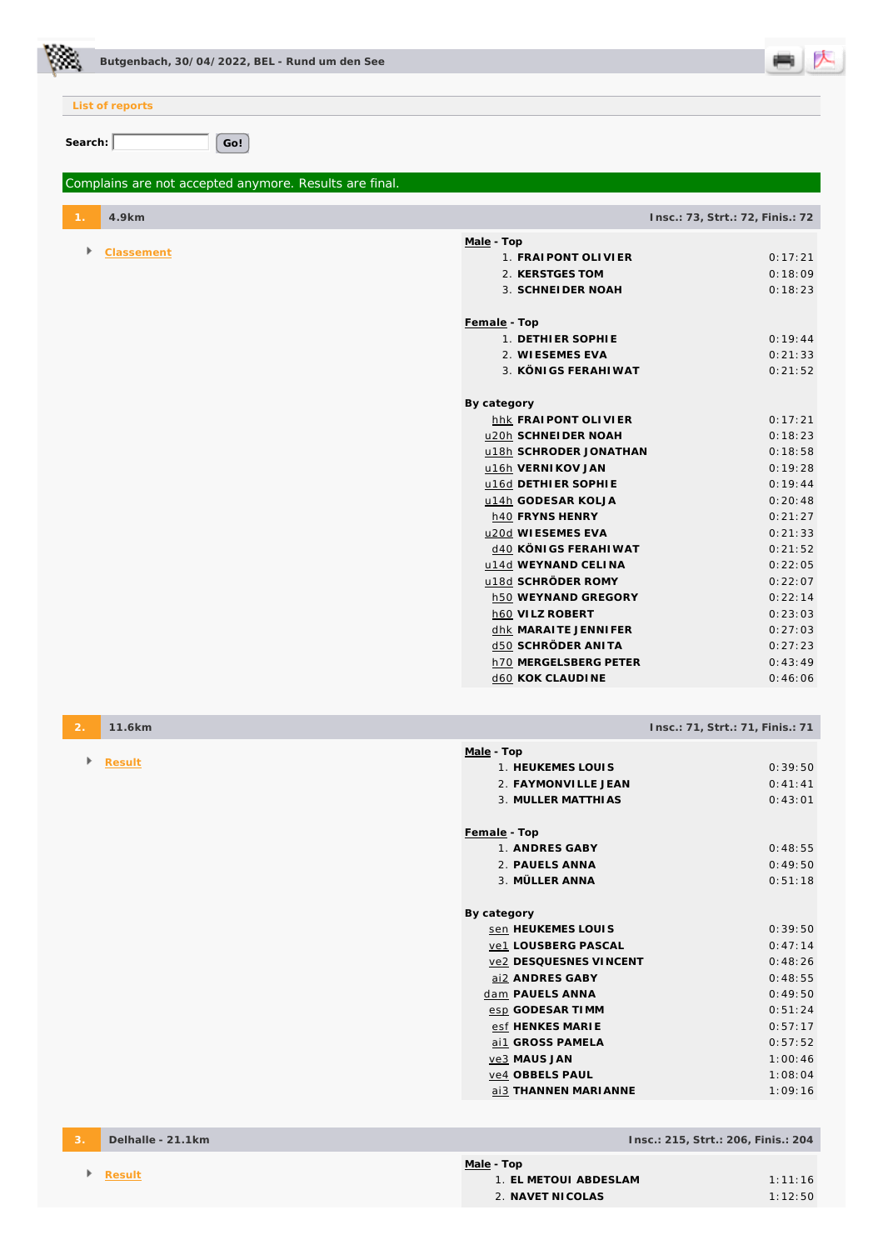

**List of reports**

Search: Go!

## *Complains are not accepted anymore. Results are final.*

| $\mathbf{1}$ . | 4.9km      |                         | Insc.: 73, Strt.: 72, Finis.: 72 |
|----------------|------------|-------------------------|----------------------------------|
| Þ.             | Classement | Male - Top              |                                  |
|                |            | 1. FRAIPONT OLIVIER     | 0:17:21                          |
|                |            | 2. KERSTGES TOM         | 0:18:09                          |
|                |            | 3. SCHNEI DER NOAH      | 0:18:23                          |
|                |            | Female - Top            |                                  |
|                |            | 1. DETHIER SOPHIE       | 0:19:44                          |
|                |            | 2. WIESEMES EVA         | 0:21:33                          |
|                |            | 3. KÖNIGS FERAHIWAT     | 0:21:52                          |
|                |            | By category             |                                  |
|                |            | hhk FRAIPONT OLIVIER    | 0:17:21                          |
|                |            | u20h SCHNEIDER NOAH     | 0:18:23                          |
|                |            | u18h SCHRODER JONATHAN  | 0:18:58                          |
|                |            | u16h VERNIKOV JAN       | 0:19:28                          |
|                |            | u16d DETHIER SOPHIE     | 0:19:44                          |
|                |            | u14h GODESAR KOLJA      | 0:20:48                          |
|                |            | h40 FRYNS HENRY         | 0:21:27                          |
|                |            | u20d WIESEMES EVA       | 0:21:33                          |
|                |            | d40 KÖNIGS FERAHIWAT    | 0:21:52                          |
|                |            | u14d WEYNAND CELINA     | 0:22:05                          |
|                |            | u18d SCHRÖDER ROMY      | 0:22:07                          |
|                |            | h50 WEYNAND GREGORY     | 0:22:14                          |
|                |            | h60 VILZ ROBERT         | 0:23:03                          |
|                |            | dhk MARAITE JENNIFER    | 0:27:03                          |
|                |            | d50 SCHRÖDER ANITA      | 0:27:23                          |
|                |            | h70 MERGELSBERG PETER   | 0:43:49                          |
|                |            | <b>d60 KOK CLAUDINE</b> | 0:46:06                          |

| $\overline{2}$ . | 11.6km |                        | Insc.: 71, Strt.: 71, Finis.: 71 |
|------------------|--------|------------------------|----------------------------------|
|                  |        | Male - Top             |                                  |
| Þ.               | Result | 1. HEUKEMES LOUIS      | 0:39:50                          |
|                  |        | 2. FAYMONVILLE JEAN    | 0:41:41                          |
|                  |        | 3. MULLER MATTHIAS     | 0:43:01                          |
|                  |        |                        |                                  |
|                  |        | Female - Top           |                                  |
|                  |        | 1. ANDRES GABY         | 0:48:55                          |
|                  |        | 2. PAUELS ANNA         | 0:49:50                          |
|                  |        | 3. MÜLLER ANNA         | 0:51:18                          |
|                  |        |                        |                                  |
|                  |        | By category            |                                  |
|                  |        | sen HEUKEMES LOUIS     | 0:39:50                          |
|                  |        | ve1 LOUSBERG PASCAL    | 0:47:14                          |
|                  |        | ve2 DESQUESNES VINCENT | 0:48:26                          |
|                  |        | ai2 ANDRES GABY        | 0:48:55                          |
|                  |        | dam PAUELS ANNA        | 0:49:50                          |
|                  |        | esp GODESAR TIMM       | 0:51:24                          |
|                  |        | esf HENKES MARIE       | 0:57:17                          |
|                  |        | ai1 GROSS PAMELA       | 0:57:52                          |
|                  |        | ve3 MAUS JAN           | 1:00:46                          |
|                  |        | ve4 OBBELS PAUL        | 1:08:04                          |
|                  |        | ai3 THANNEN MARI ANNE  | 1:09:16                          |
|                  |        |                        |                                  |

**3. Delhalle - 21.1km Insc.: 215, Strt.: 206, Finis.: 204** 

| <u> Male</u> - Top    |         |  |  |  |
|-----------------------|---------|--|--|--|
| 1. EL METOUL ABDESLAM | 1.11.16 |  |  |  |
| 2. NAVET NICOLAS      | 1:12:50 |  |  |  |